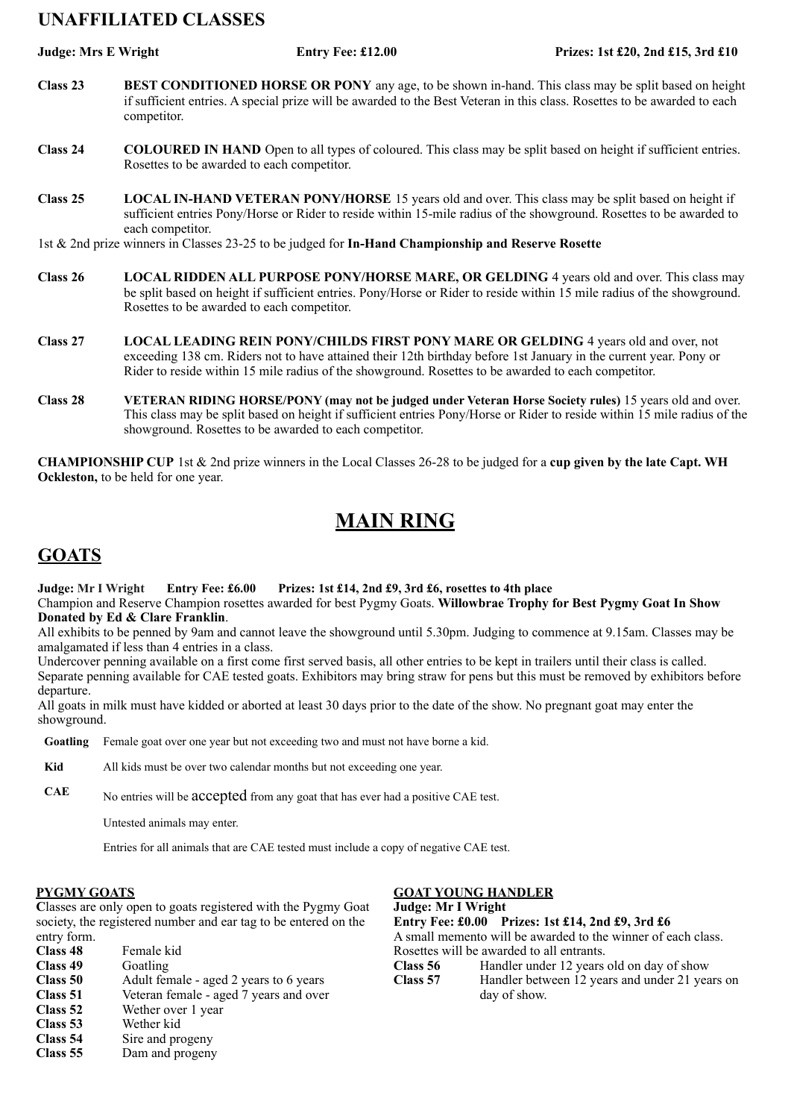# **UNAFFILIATED CLASSES**

**Judge: Mrs E Wright Entry Fee: £12.00 Prizes: 1st £20, 2nd £15, 3rd £10**

- **Class 23 BEST CONDITIONED HORSE OR PONY** any age, to be shown in-hand. This class may be split based on height if sufficient entries. A special prize will be awarded to the Best Veteran in this class. Rosettes to be awarded to each competitor.
- **Class 24 COLOURED IN HAND** Open to all types of coloured. This class may be split based on height if sufficient entries. Rosettes to be awarded to each competitor.
- **Class 25 LOCAL IN-HAND VETERAN PONY/HORSE** 15 years old and over. This class may be split based on height if sufficient entries Pony/Horse or Rider to reside within 15-mile radius of the showground. Rosettes to be awarded to each competitor.
- 1st & 2nd prize winners in Classes 23-25 to be judged for **In-Hand Championship and Reserve Rosette**
- **Class 26 LOCAL RIDDEN ALL PURPOSE PONY/HORSE MARE, OR GELDING** 4 years old and over. This class may be split based on height if sufficient entries. Pony/Horse or Rider to reside within 15 mile radius of the showground. Rosettes to be awarded to each competitor.
- **Class 27 LOCAL LEADING REIN PONY/CHILDS FIRST PONY MARE OR GELDING** 4 years old and over, not exceeding 138 cm. Riders not to have attained their 12th birthday before 1st January in the current year. Pony or Rider to reside within 15 mile radius of the showground. Rosettes to be awarded to each competitor.
- **Class 28 VETERAN RIDING HORSE/PONY (may not be judged under Veteran Horse Society rules)** 15 years old and over. This class may be split based on height if sufficient entries Pony/Horse or Rider to reside within 15 mile radius of the showground. Rosettes to be awarded to each competitor.

**CHAMPIONSHIP CUP** 1st & 2nd prize winners in the Local Classes 26-28 to be judged for a **cup given by the late Capt. WH Ockleston,** to be held for one year.

# **MAIN RING**

# **GOATS**

**Judge: Mr I Wright Entry Fee: £6.00 Prizes: 1st £14, 2nd £9, 3rd £6, rosettes to 4th place**

Champion and Reserve Champion rosettes awarded for best Pygmy Goats. **Willowbrae Trophy for Best Pygmy Goat In Show Donated by Ed & Clare Franklin**.

All exhibits to be penned by 9am and cannot leave the showground until 5.30pm. Judging to commence at 9.15am. Classes may be amalgamated if less than 4 entries in a class.

Undercover penning available on a first come first served basis, all other entries to be kept in trailers until their class is called. Separate penning available for CAE tested goats. Exhibitors may bring straw for pens but this must be removed by exhibitors before departure.

All goats in milk must have kidded or aborted at least 30 days prior to the date of the show. No pregnant goat may enter the showground.

**Goatling** Female goat over one year but not exceeding two and must not have borne a kid.

**Kid** All kids must be over two calendar months but not exceeding one year.

**CAE** No entries will be accepted from any goat that has ever had a positive CAE test.

Untested animals may enter.

Entries for all animals that are CAE tested must include a copy of negative CAE test.

### **PYGMY GOATS**

**C**lasses are only open to goats registered with the Pygmy Goat society, the registered number and ear tag to be entered on the entry form.

| CHILLY TOTHER |                                        |
|---------------|----------------------------------------|
| Class 48      | Female kid                             |
| Class 49      | Goatling                               |
| Class 50      | Adult female - aged 2 years to 6 years |
| Class 51      | Veteran female - aged 7 years and over |
| Class 52      | Wether over 1 year                     |
| Class 53      | Wether kid                             |
| Class 54      | Sire and progeny                       |

**Class 55** Dam and progeny

### **GOAT YOUNG HANDLER**

**Judge: Mr I Wright Entry Fee: £0.00 Prizes: 1st £14, 2nd £9, 3rd £6** A small memento will be awarded to the winner of each class. Rosettes will be awarded to all entrants. **Class 56** Handler under 12 years old on day of show<br> **Class 57** Handler between 12 years and under 21 year Handler between 12 years and under 21 years on day of show.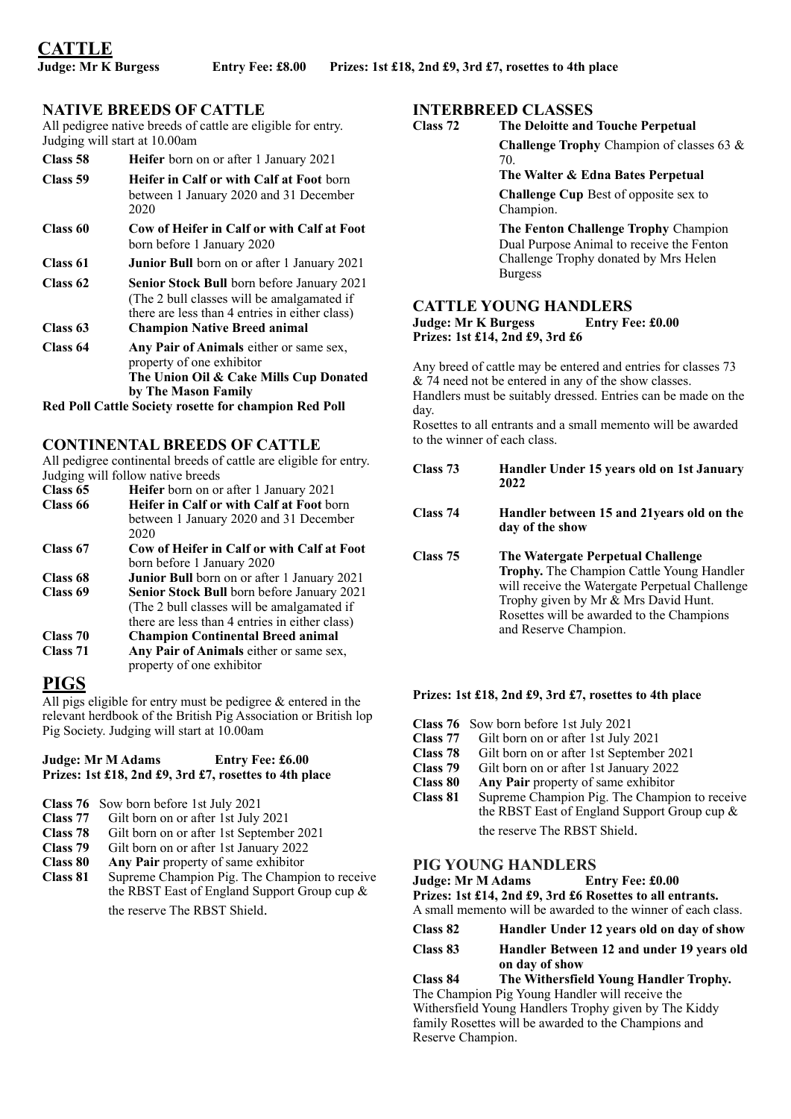# **NATIVE BREEDS OF CATTLE**

All pedigree native breeds of cattle are eligible for entry. Judging will start at 10.00am

| Class 58 | <b>Heifer</b> born on or after 1 January 2021                                                                                                     |
|----------|---------------------------------------------------------------------------------------------------------------------------------------------------|
| Class 59 | <b>Heifer in Calf or with Calf at Foot born</b><br>between 1 January 2020 and 31 December<br>2020                                                 |
| Class 60 | Cow of Heifer in Calf or with Calf at Foot<br>born before 1 January 2020                                                                          |
| Class 61 | <b>Junior Bull</b> born on or after 1 January 2021                                                                                                |
| Class 62 | <b>Senior Stock Bull</b> born before January 2021<br>(The 2 bull classes will be amalgamated if<br>there are less than 4 entries in either class) |
| Class 63 | <b>Champion Native Breed animal</b>                                                                                                               |
| Class 64 | Any Pair of Animals either or same sex,<br>property of one exhibitor                                                                              |

**The Union Oil & Cake Mills Cup Donated by The Mason Family**

**Red Poll Cattle Society rosette for champion Red Poll**

# **CONTINENTAL BREEDS OF CATTLE**

All pedigree continental breeds of cattle are eligible for entry. Judging will follow native breeds

| Class 65 | Heifer born on or after 1 January 2021      |
|----------|---------------------------------------------|
| Class 66 | Heifer in Calf or with Calf at Foot born    |
|          | between 1 January 2020 and 31 December      |
|          | 2020                                        |
| Class 67 | Cow of Heifer in Calf or with Calf at Foot  |
|          | born before 1 January 2020                  |
| Class 68 | Junior Bull born on or after 1 January 2021 |

- **Class 69 Senior Stock Bull** born before January 2021 (The 2 bull classes will be amalgamated if there are less than 4 entries in either class)
- **Class 70 Champion Continental Breed animal**
- **Class 71 Any Pair of Animals** either or same sex, property of one exhibitor

# **PIGS**

All pigs eligible for entry must be pedigree  $\&$  entered in the relevant herdbook of the British Pig Association or British lop Pig Society. Judging will start at 10.00am

### **Judge: Mr M Adams Entry Fee: £6.00 Prizes: 1st £18, 2nd £9, 3rd £7, rosettes to 4th place**

- **Class 76** Sow born before 1st July 2021
- **Class 77** Gilt born on or after 1st July 2021
- **Class 78** Gilt born on or after 1st September 2021
- **Class 79** Gilt born on or after 1st January 2022
- **Class 80 Any Pair** property of same exhibitor
- **Class 81** Supreme Champion Pig. The Champion to receive the RBST East of England Support Group cup & the reserve The RBST Shield.

# **INTERBREED CLASSES**

**Class 72 The Deloitte and Touche Perpetual Challenge Trophy** Champion of classes 63 & 70.

### **The Walter & Edna Bates Perpetual**

**Challenge Cup** Best of opposite sex to Champion.

**The Fenton Challenge Trophy** Champion Dual Purpose Animal to receive the Fenton Challenge Trophy donated by Mrs Helen Burgess

#### **CATTLE YOUNG HANDLERS Judge: Mr K Burgess Entry Fee: £0.00 Prizes: 1st £14, 2nd £9, 3rd £6**

Any breed of cattle may be entered and entries for classes 73 & 74 need not be entered in any of the show classes. Handlers must be suitably dressed. Entries can be made on the day.

Rosettes to all entrants and a small memento will be awarded to the winner of each class.

### **Class 73 Handler Under 15 years old on 1st January 2022**

### **Class 74 Handler between 15 and 21years old on the day of the show**

**Class 75 The Watergate Perpetual Challenge Trophy.** The Champion Cattle Young Handler will receive the Watergate Perpetual Challenge Trophy given by Mr & Mrs David Hunt. Rosettes will be awarded to the Champions and Reserve Champion.

### **Prizes: 1st £18, 2nd £9, 3rd £7, rosettes to 4th place**

- **Class 76** Sow born before 1st July 2021
- **Class 77** Gilt born on or after 1st July 2021<br>**Class 78** Gilt born on or after 1st Septembe
- Gilt born on or after 1st September 2021
- **Class 79** Gilt born on or after 1st January 2022
- **Class 80 Any Pair** property of same exhibitor Class 81 Supreme Champion Pig The Champi
- Supreme Champion Pig. The Champion to receive the RBST East of England Support Group cup & the reserve The RBST Shield.

**PIG YOUNG HANDLERS**  $Judge: Mr M Adams$ **Prizes: 1st £14, 2nd £9, 3rd £6 Rosettes to all entrants.**

A small memento will be awarded to the winner of each class.

**Class 82 Handler Under 12 years old on day of show**

#### **Class 83 Handler Between 12 and under 19 years old on day of show**

**Class 84 The Withersfield Young Handler Trophy.** The Champion Pig Young Handler will receive the Withersfield Young Handlers Trophy given by The Kiddy family Rosettes will be awarded to the Champions and Reserve Champion.